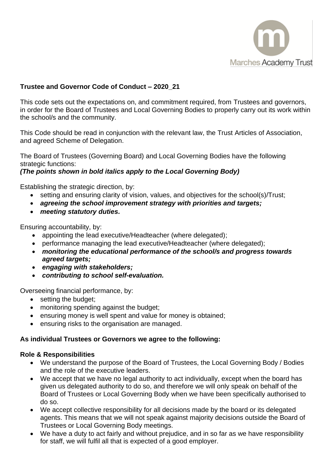

# **Trustee and Governor Code of Conduct – 2020\_21**

This code sets out the expectations on, and commitment required, from Trustees and governors, in order for the Board of Trustees and Local Governing Bodies to properly carry out its work within the school/s and the community.

This Code should be read in conjunction with the relevant law, the Trust Articles of Association, and agreed Scheme of Delegation.

The Board of Trustees (Governing Board) and Local Governing Bodies have the following strategic functions:

## *(The points shown in bold italics apply to the Local Governing Body)*

Establishing the strategic direction, by:

- setting and ensuring clarity of vision, values, and objectives for the school(s)/Trust;
- *agreeing the school improvement strategy with priorities and targets;*
- *meeting statutory duties.*

Ensuring accountability, by:

- appointing the lead executive/Headteacher (where delegated);
- performance managing the lead executive/Headteacher (where delegated);
- *monitoring the educational performance of the school/s and progress towards agreed targets;*
- *engaging with stakeholders;*
- *contributing to school self-evaluation.*

Overseeing financial performance, by:

- setting the budget:
- monitoring spending against the budget;
- ensuring money is well spent and value for money is obtained;
- ensuring risks to the organisation are managed.

## **As individual Trustees or Governors we agree to the following:**

#### **Role & Responsibilities**

- We understand the purpose of the Board of Trustees, the Local Governing Body / Bodies and the role of the executive leaders.
- We accept that we have no legal authority to act individually, except when the board has given us delegated authority to do so, and therefore we will only speak on behalf of the Board of Trustees or Local Governing Body when we have been specifically authorised to do so.
- We accept collective responsibility for all decisions made by the board or its delegated agents. This means that we will not speak against majority decisions outside the Board of Trustees or Local Governing Body meetings.
- We have a duty to act fairly and without prejudice, and in so far as we have responsibility for staff, we will fulfil all that is expected of a good employer.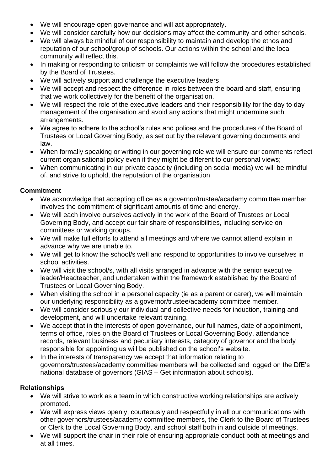- We will encourage open governance and will act appropriately.
- We will consider carefully how our decisions may affect the community and other schools.
- We will always be mindful of our responsibility to maintain and develop the ethos and reputation of our school/group of schools. Our actions within the school and the local community will reflect this.
- In making or responding to criticism or complaints we will follow the procedures established by the Board of Trustees.
- We will actively support and challenge the executive leaders
- We will accept and respect the difference in roles between the board and staff, ensuring that we work collectively for the benefit of the organisation.
- We will respect the role of the executive leaders and their responsibility for the day to day management of the organisation and avoid any actions that might undermine such arrangements.
- We agree to adhere to the school's rules and polices and the procedures of the Board of Trustees or Local Governing Body, as set out by the relevant governing documents and law.
- When formally speaking or writing in our governing role we will ensure our comments reflect current organisational policy even if they might be different to our personal views;
- When communicating in our private capacity (including on social media) we will be mindful of, and strive to uphold, the reputation of the organisation

# **Commitment**

- We acknowledge that accepting office as a governor/trustee/academy committee member involves the commitment of significant amounts of time and energy.
- We will each involve ourselves actively in the work of the Board of Trustees or Local Governing Body, and accept our fair share of responsibilities, including service on committees or working groups.
- We will make full efforts to attend all meetings and where we cannot attend explain in advance why we are unable to.
- We will get to know the school/s well and respond to opportunities to involve ourselves in school activities.
- We will visit the school/s, with all visits arranged in advance with the senior executive leader/Headteacher, and undertaken within the framework established by the Board of Trustees or Local Governing Body.
- When visiting the school in a personal capacity (ie as a parent or carer), we will maintain our underlying responsibility as a governor/trustee/academy committee member.
- We will consider seriously our individual and collective needs for induction, training and development, and will undertake relevant training.
- We accept that in the interests of open governance, our full names, date of appointment, terms of office, roles on the Board of Trustees or Local Governing Body, attendance records, relevant business and pecuniary interests, category of governor and the body responsible for appointing us will be published on the school's website.
- In the interests of transparency we accept that information relating to governors/trustees/academy committee members will be collected and logged on the DfE's national database of governors (GIAS – Get information about schools).

# **Relationships**

- We will strive to work as a team in which constructive working relationships are actively promoted.
- We will express views openly, courteously and respectfully in all our communications with other governors/trustees/academy committee members, the Clerk to the Board of Trustees or Clerk to the Local Governing Body, and school staff both in and outside of meetings.
- We will support the chair in their role of ensuring appropriate conduct both at meetings and at all times.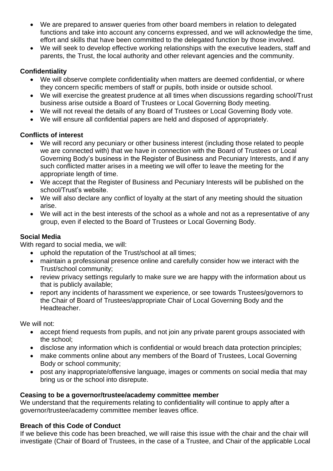- We are prepared to answer queries from other board members in relation to delegated functions and take into account any concerns expressed, and we will acknowledge the time, effort and skills that have been committed to the delegated function by those involved.
- We will seek to develop effective working relationships with the executive leaders, staff and parents, the Trust, the local authority and other relevant agencies and the community.

## **Confidentiality**

- We will observe complete confidentiality when matters are deemed confidential, or where they concern specific members of staff or pupils, both inside or outside school.
- We will exercise the greatest prudence at all times when discussions regarding school/Trust business arise outside a Board of Trustees or Local Governing Body meeting.
- We will not reveal the details of any Board of Trustees or Local Governing Body vote.
- We will ensure all confidential papers are held and disposed of appropriately.

## **Conflicts of interest**

- We will record any pecuniary or other business interest (including those related to people we are connected with) that we have in connection with the Board of Trustees or Local Governing Body's business in the Register of Business and Pecuniary Interests, and if any such conflicted matter arises in a meeting we will offer to leave the meeting for the appropriate length of time.
- We accept that the Register of Business and Pecuniary Interests will be published on the school/Trust's website.
- We will also declare any conflict of loyalty at the start of any meeting should the situation arise.
- We will act in the best interests of the school as a whole and not as a representative of any group, even if elected to the Board of Trustees or Local Governing Body.

# **Social Media**

With regard to social media, we will:

- uphold the reputation of the Trust/school at all times;
- maintain a professional presence online and carefully consider how we interact with the Trust/school community;
- review privacy settings regularly to make sure we are happy with the information about us that is publicly available;
- report any incidents of harassment we experience, or see towards Trustees/governors to the Chair of Board of Trustees/appropriate Chair of Local Governing Body and the Headteacher.

We will not:

- accept friend requests from pupils, and not join any private parent groups associated with the school;
- disclose any information which is confidential or would breach data protection principles;
- make comments online about any members of the Board of Trustees, Local Governing Body or school community;
- post [any inappropriate/offensive language, images or comments on social media](https://schoolgovernors.thekeysupport.com/uid/d52096c0-a2e8-4a55-879b-30477993d218/) that may bring us or the school into disrepute.

## **Ceasing to be a governor/trustee/academy committee member**

We understand that the requirements relating to confidentiality will continue to apply after a governor/trustee/academy committee member leaves office.

## **Breach of this Code of Conduct**

If we believe this code has been breached, we will raise this issue with the chair and the chair will investigate (Chair of Board of Trustees, in the case of a Trustee, and Chair of the applicable Local